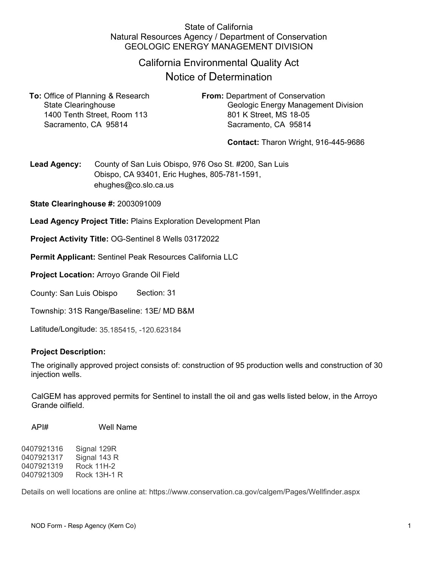## State of California Natural Resources Agency / Department of Conservation GEOLOGIC ENERGY MANAGEMENT DIVISION

# California Environmental Quality Act

# Notice of Determination

**To:** Office of Planning & Research **From:** Department of Conservation 1400 Tenth Street, Room 113 801 K Street, MS 18-05 Sacramento, CA 95814 Sacramento, CA 95814

State Clearinghouse **Geologic Energy Management Division** 

**Contact:** Tharon Wright, 916-445-9686

**Lead Agency:** County of San Luis Obispo, 976 Oso St. #200, San Luis Obispo, CA 93401, Eric Hughes, 805-781-1591, ehughes@co.slo.ca.us

**State Clearinghouse #:** 2003091009

**Lead Agency Project Title:** Plains Exploration Development Plan

**Project Activity Title:** OG-Sentinel 8 Wells 03172022

**Permit Applicant:** Sentinel Peak Resources California LLC

**Project Location:** Arroyo Grande Oil Field

County: San Luis Obispo Section: 31

Township: 31S Range/Baseline: 13E/ MD B&M

Latitude/Longitude: 35.185415, -120.623184

#### **Project Description:**

The originally approved project consists of: construction of 95 production wells and construction of 30 injection wells.

CalGEM has approved permits for Sentinel to install the oil and gas wells listed below, in the Arroyo Grande oilfield.

API# Well Name

0407921316 Signal 129R 0407921317 Signal 143 R 0407921319 Rock 11H-2 0407921309 Rock 13H-1 R

Details on well locations are online at: https://www.conservation.ca.gov/calgem/Pages/Wellfinder.aspx